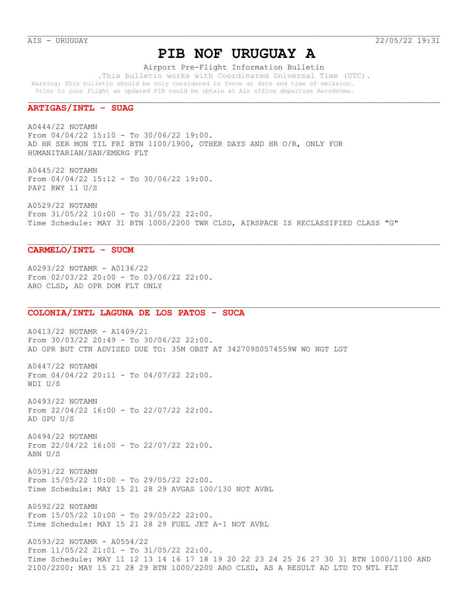# **PIB NOF URUGUAY A**

Airport Pre-Flight Information Bulletin

 .This bulletin works with Coordinated Universal Time (UTC). Warning: This bulletin should be only considered in force at date and time of emission. Prior to your flight an updated PIB could be obtain at Ais office departure Aerodrome.

## **ARTIGAS/INTL - SUAG**

A0444/22 NOTAMN From 04/04/22 15:10 - To 30/06/22 19:00. AD HR SER MON TIL FRI BTN 1100/1900, OTHER DAYS AND HR O/R, ONLY FOR HUMANITARIAN/SAN/EMERG FLT

A0445/22 NOTAMN From 04/04/22 15:12 - To 30/06/22 19:00. PAPI RWY 11 U/S

A0529/22 NOTAMN From 31/05/22 10:00 - To 31/05/22 22:00. Time Schedule: MAY 31 BTN 1000/2200 TWR CLSD, AIRSPACE IS RECLASSIFIED CLASS "G"

### **CARMELO/INTL - SUCM**

A0293/22 NOTAMR - A0136/22 From 02/03/22 20:00 - To 03/06/22 22:00. ARO CLSD, AD OPR DOM FLT ONLY

#### **COLONIA/INTL LAGUNA DE LOS PATOS - SUCA**

A0413/22 NOTAMR - A1409/21 From 30/03/22 20:49 - To 30/06/22 22:00. AD OPR BUT CTN ADVISED DUE TO: 35M OBST AT 342709S0574559W WO NGT LGT

A0447/22 NOTAMN From  $04/04/22$  20:11 - To  $04/07/22$  22:00. WDI U/S

A0493/22 NOTAMN From 22/04/22 16:00 - To 22/07/22 22:00. AD GPU U/S

A0494/22 NOTAMN From 22/04/22 16:00 - To 22/07/22 22:00. ABN U/S

A0591/22 NOTAMN From 15/05/22 10:00 - To 29/05/22 22:00. Time Schedule: MAY 15 21 28 29 AVGAS 100/130 NOT AVBL

A0592/22 NOTAMN From 15/05/22 10:00 - To 29/05/22 22:00. Time Schedule: MAY 15 21 28 29 FUEL JET A-1 NOT AVBL

A0593/22 NOTAMR - A0554/22 From 11/05/22 21:01 - To 31/05/22 22:00. Time Schedule: MAY 11 12 13 14 16 17 18 19 20 22 23 24 25 26 27 30 31 BTN 1000/1100 AND 2100/2200; MAY 15 21 28 29 BTN 1000/2200 ARO CLSD, AS A RESULT AD LTD TO NTL FLT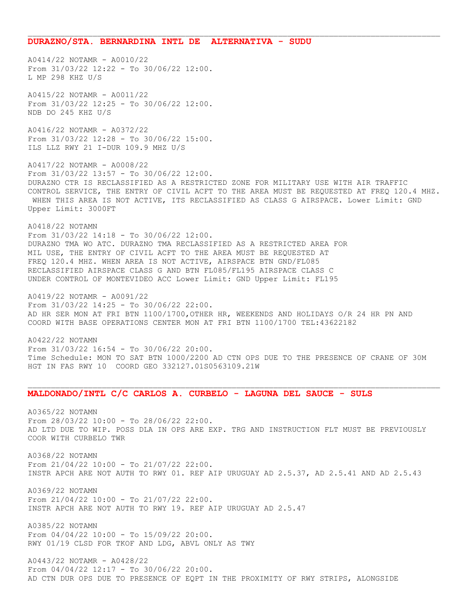#### **DURAZNO/STA. BERNARDINA INTL DE ALTERNATIVA - SUDU**

A0414/22 NOTAMR - A0010/22 From 31/03/22 12:22 - To 30/06/22 12:00. L MP 298 KHZ U/S

A0415/22 NOTAMR - A0011/22 From 31/03/22 12:25 - To 30/06/22 12:00. NDB DO 245 KHZ U/S

A0416/22 NOTAMR - A0372/22 From 31/03/22 12:28 - To 30/06/22 15:00. ILS LLZ RWY 21 I-DUR 109.9 MHZ U/S

A0417/22 NOTAMR - A0008/22 From 31/03/22 13:57 - To 30/06/22 12:00. DURAZNO CTR IS RECLASSIFIED AS A RESTRICTED ZONE FOR MILITARY USE WITH AIR TRAFFIC CONTROL SERVICE, THE ENTRY OF CIVIL ACFT TO THE AREA MUST BE REQUESTED AT FREQ 120.4 MHZ. WHEN THIS AREA IS NOT ACTIVE, ITS RECLASSIFIED AS CLASS G AIRSPACE. Lower Limit: GND Upper Limit: 3000FT

A0418/22 NOTAMN From 31/03/22 14:18 - To 30/06/22 12:00. DURAZNO TMA WO ATC. DURAZNO TMA RECLASSIFIED AS A RESTRICTED AREA FOR MIL USE, THE ENTRY OF CIVIL ACFT TO THE AREA MUST BE REQUESTED AT FREQ 120.4 MHZ. WHEN AREA IS NOT ACTIVE, AIRSPACE BTN GND/FL085 RECLASSIFIED AIRSPACE CLASS G AND BTN FL085/FL195 AIRSPACE CLASS C UNDER CONTROL OF MONTEVIDEO ACC Lower Limit: GND Upper Limit: FL195

A0419/22 NOTAMR - A0091/22 From 31/03/22 14:25 - To 30/06/22 22:00. AD HR SER MON AT FRI BTN 1100/1700,OTHER HR, WEEKENDS AND HOLIDAYS O/R 24 HR PN AND COORD WITH BASE OPERATIONS CENTER MON AT FRI BTN 1100/1700 TEL:43622182

A0422/22 NOTAMN From 31/03/22 16:54 - To 30/06/22 20:00. Time Schedule: MON TO SAT BTN 1000/2200 AD CTN OPS DUE TO THE PRESENCE OF CRANE OF 30M HGT IN FAS RWY 10 COORD GEO 332127.01S0563109.21W

### **MALDONADO/INTL C/C CARLOS A. CURBELO - LAGUNA DEL SAUCE - SULS**

A0365/22 NOTAMN From 28/03/22 10:00 - To 28/06/22 22:00. AD LTD DUE TO WIP. POSS DLA IN OPS ARE EXP. TRG AND INSTRUCTION FLT MUST BE PREVIOUSLY COOR WITH CURBELO TWR

A0368/22 NOTAMN From 21/04/22 10:00 - To 21/07/22 22:00. INSTR APCH ARE NOT AUTH TO RWY 01. REF AIP URUGUAY AD 2.5.37, AD 2.5.41 AND AD 2.5.43

A0369/22 NOTAMN From 21/04/22 10:00 - To 21/07/22 22:00. INSTR APCH ARE NOT AUTH TO RWY 19. REF AIP URUGUAY AD 2.5.47

A0385/22 NOTAMN From 04/04/22 10:00 - To 15/09/22 20:00. RWY 01/19 CLSD FOR TKOF AND LDG, ABVL ONLY AS TWY

A0443/22 NOTAMR - A0428/22 From 04/04/22 12:17 - To 30/06/22 20:00. AD CTN DUR OPS DUE TO PRESENCE OF EQPT IN THE PROXIMITY OF RWY STRIPS, ALONGSIDE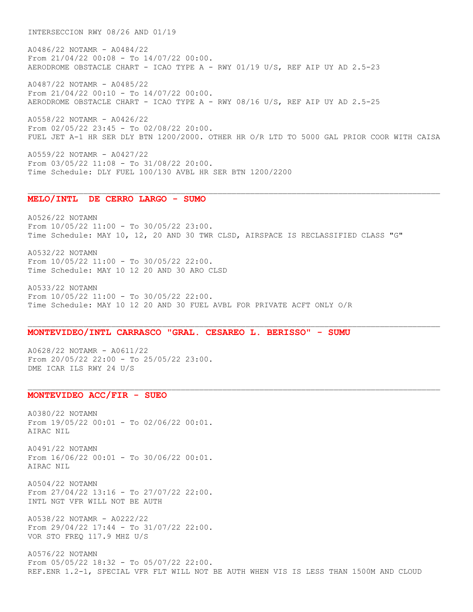INTERSECCION RWY 08/26 AND 01/19

A0486/22 NOTAMR - A0484/22 From 21/04/22 00:08 - To 14/07/22 00:00. AERODROME OBSTACLE CHART - ICAO TYPE A - RWY 01/19 U/S, REF AIP UY AD 2.5-23

A0487/22 NOTAMR - A0485/22 From 21/04/22 00:10 - To 14/07/22 00:00. AERODROME OBSTACLE CHART - ICAO TYPE A - RWY 08/16 U/S, REF AIP UY AD 2.5-25

A0558/22 NOTAMR - A0426/22 From 02/05/22 23:45 - To 02/08/22 20:00. FUEL JET A-1 HR SER DLY BTN 1200/2000. OTHER HR O/R LTD TO 5000 GAL PRIOR COOR WITH CAISA

A0559/22 NOTAMR - A0427/22 From 03/05/22 11:08 - To 31/08/22 20:00. Time Schedule: DLY FUEL 100/130 AVBL HR SER BTN 1200/2200

## **MELO/INTL DE CERRO LARGO - SUMO**

A0526/22 NOTAMN From 10/05/22 11:00 - To 30/05/22 23:00. Time Schedule: MAY 10, 12, 20 AND 30 TWR CLSD, AIRSPACE IS RECLASSIFIED CLASS "G"

A0532/22 NOTAMN From 10/05/22 11:00 - To 30/05/22 22:00. Time Schedule: MAY 10 12 20 AND 30 ARO CLSD

A0533/22 NOTAMN From 10/05/22 11:00 - To 30/05/22 22:00. Time Schedule: MAY 10 12 20 AND 30 FUEL AVBL FOR PRIVATE ACFT ONLY O/R

## **MONTEVIDEO/INTL CARRASCO "GRAL. CESAREO L. BERISSO" - SUMU**

A0628/22 NOTAMR - A0611/22 From  $20/05/22$  22:00 - To  $25/05/22$  23:00. DME ICAR ILS RWY 24 U/S

# **MONTEVIDEO ACC/FIR - SUEO**

A0380/22 NOTAMN From 19/05/22 00:01 - To 02/06/22 00:01. AIRAC NIL

A0491/22 NOTAMN From 16/06/22 00:01 - To 30/06/22 00:01. AIRAC NIL

A0504/22 NOTAMN From 27/04/22 13:16 - To 27/07/22 22:00. INTL NGT VFR WILL NOT BE AUTH

A0538/22 NOTAMR - A0222/22 From 29/04/22 17:44 - To 31/07/22 22:00. VOR STO FREQ 117.9 MHZ U/S

A0576/22 NOTAMN From 05/05/22 18:32 - To 05/07/22 22:00. REF.ENR 1.2-1, SPECIAL VFR FLT WILL NOT BE AUTH WHEN VIS IS LESS THAN 1500M AND CLOUD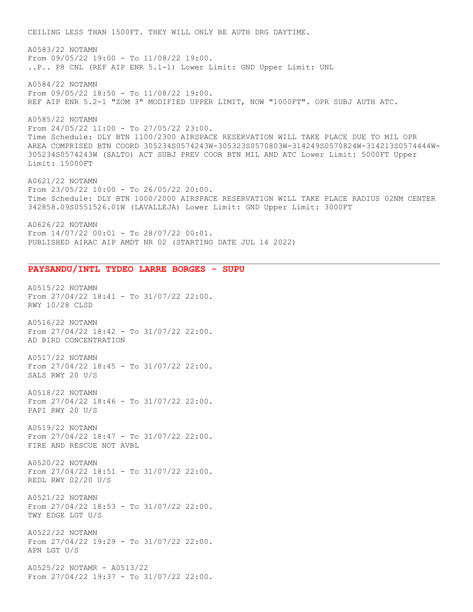CEILING LESS THAN 1500FT. THEY WILL ONLY BE AUTH DRG DAYTIME.

A0583/22 NOTAMN From 09/05/22 19:00 - To 11/08/22 19:00. ..P.. P8 CNL (REF AIP ENR 5.1-1) Lower Limit: GND Upper Limit: UNL

A0584/22 NOTAMN From 09/05/22 18:50 - To 11/08/22 19:00. REF AIP ENR 5.2-1 "ZOM 3" MODIFIED UPPER LIMIT, NOW "1000FT". OPR SUBJ AUTH ATC.

A0585/22 NOTAMN From 24/05/22 11:00 - To 27/05/22 23:00. Time Schedule: DLY BTN 1100/2300 AIRSPACE RESERVATION WILL TAKE PLACE DUE TO MIL OPR AREA COMPRISED BTN COORD 305234S0574243W-305323S0570803W-314249S0570824W-314213S0574444W-305234S0574243W (SALTO) ACT SUBJ PREV COOR BTN MIL AND ATC Lower Limit: 5000FT Upper Limit: 15000FT

A0621/22 NOTAMN From 23/05/22 10:00 - To 26/05/22 20:00. Time Schedule: DLY BTN 1000/2000 AIRSPACE RESERVATION WILL TAKE PLACE RADIUS 02NM CENTER 342858.09S0551526.01W (LAVALLEJA) Lower Limit: GND Upper Limit: 3000FT

A0626/22 NOTAMN From 14/07/22 00:01 - To 28/07/22 00:01. PUBLISHED AIRAC AIP AMDT NR 02 (STARTING DATE JUL 14 2022)

## **PAYSANDU/INTL TYDEO LARRE BORGES - SUPU**

A0515/22 NOTAMN From 27/04/22 18:41 - To 31/07/22 22:00. RWY 10/28 CLSD

A0516/22 NOTAMN From 27/04/22 18:42 - To 31/07/22 22:00. AD BIRD CONCENTRATION

A0517/22 NOTAMN From 27/04/22 18:45 - To 31/07/22 22:00. SALS RWY 20 U/S

A0518/22 NOTAMN From 27/04/22 18:46 - To 31/07/22 22:00. PAPI RWY 20 U/S

A0519/22 NOTAMN From 27/04/22 18:47 - To 31/07/22 22:00. FIRE AND RESCUE NOT AVBL

A0520/22 NOTAMN From 27/04/22 18:51 - To 31/07/22 22:00. REDL RWY 02/20 U/S

A0521/22 NOTAMN From 27/04/22 18:53 - To 31/07/22 22:00. TWY EDGE LGT U/S

A0522/22 NOTAMN From 27/04/22 19:29 - To 31/07/22 22:00. APN LGT U/S

A0525/22 NOTAMR - A0513/22 From 27/04/22 19:37 - To 31/07/22 22:00.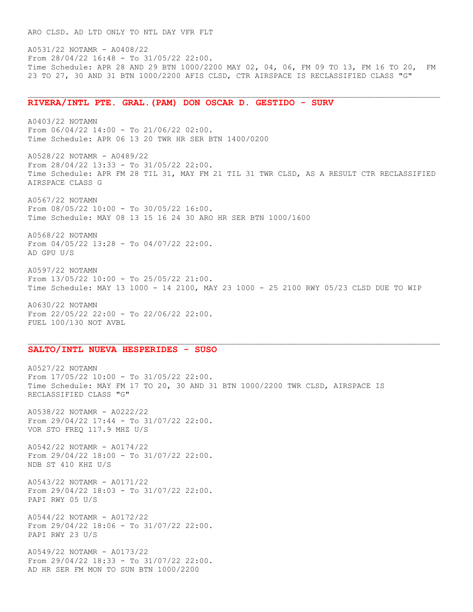A0531/22 NOTAMR - A0408/22 From 28/04/22 16:48 - To 31/05/22 22:00. Time Schedule: APR 28 AND 29 BTN 1000/2200 MAY 02, 04, 06, FM 09 TO 13, FM 16 TO 20, FM 23 TO 27, 30 AND 31 BTN 1000/2200 AFIS CLSD, CTR AIRSPACE IS RECLASSIFIED CLASS "G"

## **RIVERA/INTL PTE. GRAL.(PAM) DON OSCAR D. GESTIDO - SURV**

A0403/22 NOTAMN From 06/04/22 14:00 - To 21/06/22 02:00. Time Schedule: APR 06 13 20 TWR HR SER BTN 1400/0200

A0528/22 NOTAMR - A0489/22 From 28/04/22 13:33 - To 31/05/22 22:00. Time Schedule: APR FM 28 TIL 31, MAY FM 21 TIL 31 TWR CLSD, AS A RESULT CTR RECLASSIFIED AIRSPACE CLASS G

A0567/22 NOTAMN From 08/05/22 10:00 - To 30/05/22 16:00. Time Schedule: MAY 08 13 15 16 24 30 ARO HR SER BTN 1000/1600

A0568/22 NOTAMN From 04/05/22 13:28 - To 04/07/22 22:00. AD GPU U/S

A0597/22 NOTAMN From 13/05/22 10:00 - To 25/05/22 21:00. Time Schedule: MAY 13 1000 - 14 2100, MAY 23 1000 - 25 2100 RWY 05/23 CLSD DUE TO WIP

A0630/22 NOTAMN From 22/05/22 22:00 - To 22/06/22 22:00. FUEL 100/130 NOT AVBL

## **SALTO/INTL NUEVA HESPERIDES - SUSO**

A0527/22 NOTAMN From 17/05/22 10:00 - To 31/05/22 22:00. Time Schedule: MAY FM 17 TO 20, 30 AND 31 BTN 1000/2200 TWR CLSD, AIRSPACE IS RECLASSIFIED CLASS "G"

A0538/22 NOTAMR - A0222/22 From 29/04/22 17:44 - To 31/07/22 22:00. VOR STO FREQ 117.9 MHZ U/S

A0542/22 NOTAMR - A0174/22 From 29/04/22 18:00 - To 31/07/22 22:00. NDB ST 410 KHZ U/S

A0543/22 NOTAMR - A0171/22 From 29/04/22 18:03 - To 31/07/22 22:00. PAPI RWY 05 U/S

A0544/22 NOTAMR - A0172/22 From 29/04/22 18:06 - To 31/07/22 22:00. PAPI RWY 23 U/S

A0549/22 NOTAMR - A0173/22 From 29/04/22 18:33 - To 31/07/22 22:00. AD HR SER FM MON TO SUN BTN 1000/2200